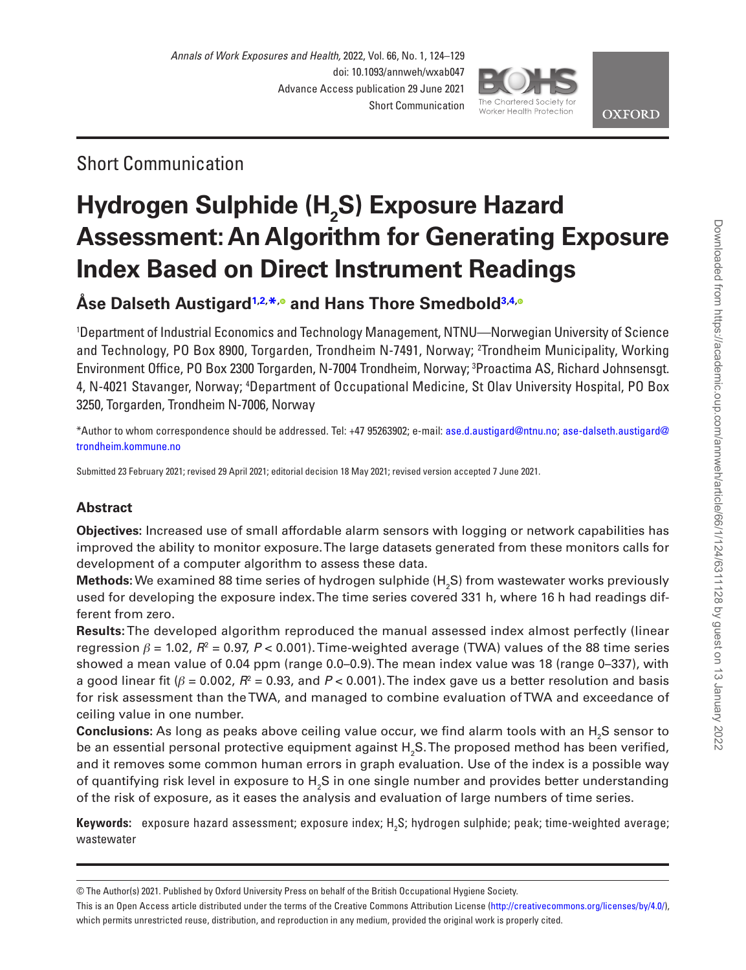## Short Communication

# **Hydrogen Sulphide (H2 S) Exposure Hazard Assessment: An Algorithm for Generating Exposure Index Based on Direct Instrument Readings**

## **Åse Dalseth Austigard[1,](#page-0-0)[2,](#page-0-1) [\\*](#page-0-2)[,](https://orcid.org/0000-0001-7989-8156) and Hans Thore Smedbol[d3](#page-0-3),[4](#page-0-4)[,](https://orcid.org/0000-0001-5784-2522)**

<span id="page-0-3"></span><span id="page-0-1"></span><span id="page-0-0"></span>1 Department of Industrial Economics and Technology Management, NTNU—Norwegian University of Science and Technology, PO Box 8900, Torgarden, Trondheim N-7491, Norway; 2 Trondheim Municipality, Working Environment Office, PO Box 2300 Torgarden, N-7004 Trondheim, Norway; 3 Proactima AS, Richard Johnsensgt. 4, N-4021 Stavanger, Norway; 4 Department of Occupational Medicine, St Olav University Hospital, PO Box 3250, Torgarden, Trondheim N-7006, Norway

<span id="page-0-4"></span><span id="page-0-2"></span>\*Author to whom correspondence should be addressed. Tel: +47 95263902; e-mail: [ase.d.austigard@ntnu.no;](mailto:ase.d.austigard@ntnu.no?subject=) [ase-dalseth.austigard@](mailto:ase-dalseth.austigard@trondheim.kommune.no?subject=) [trondheim.kommune.no](mailto:ase-dalseth.austigard@trondheim.kommune.no?subject=)

Submitted 23 February 2021; revised 29 April 2021; editorial decision 18 May 2021; revised version accepted 7 June 2021.

### **Abstract**

**Objectives:** Increased use of small affordable alarm sensors with logging or network capabilities has improved the ability to monitor exposure. The large datasets generated from these monitors calls for development of a computer algorithm to assess these data.

 ${\sf Methods:}$  We examined 88 time series of hydrogen sulphide (H<sub>2</sub>S) from wastewater works previously used for developing the exposure index. The time series covered 331 h, where 16 h had readings different from zero.

**Results:** The developed algorithm reproduced the manual assessed index almost perfectly (linear regression *β* = 1.02, *R*<sup>2</sup> = 0.97, *P* < 0.001). Time-weighted average (TWA) values of the 88 time series showed a mean value of 0.04 ppm (range 0.0–0.9). The mean index value was 18 (range 0–337), with a good linear fit (*β* = 0.002, *R*<sup>2</sup> = 0.93, and *P* < 0.001). The index gave us a better resolution and basis for risk assessment than the TWA, and managed to combine evaluation of TWA and exceedance of ceiling value in one number.

 ${\sf Conclusions:}$  As long as peaks above ceiling value occur, we find alarm tools with an  ${\sf H_2S}$  sensor to be an essential personal protective equipment against  ${\sf H}_2$ S. The proposed method has been verified, and it removes some common human errors in graph evaluation. Use of the index is a possible way of quantifying risk level in exposure to  $\mathsf{H}_{_2}\mathsf{S}$  in one single number and provides better understanding of the risk of exposure, as it eases the analysis and evaluation of large numbers of time series.

**Keywords:** exposure hazard assessment; exposure index; H<sub>2</sub>S; hydrogen sulphide; peak; time-weighted average; wastewater



<sup>©</sup> The Author(s) 2021. Published by Oxford University Press on behalf of the British Occupational Hygiene Society.

This is an Open Access article distributed under the terms of the Creative Commons Attribution License [\(http://creativecommons.org/licenses/by/4.0/](http://creativecommons.org/licenses/by/4.0/)), which permits unrestricted reuse, distribution, and reproduction in any medium, provided the original work is properly cited.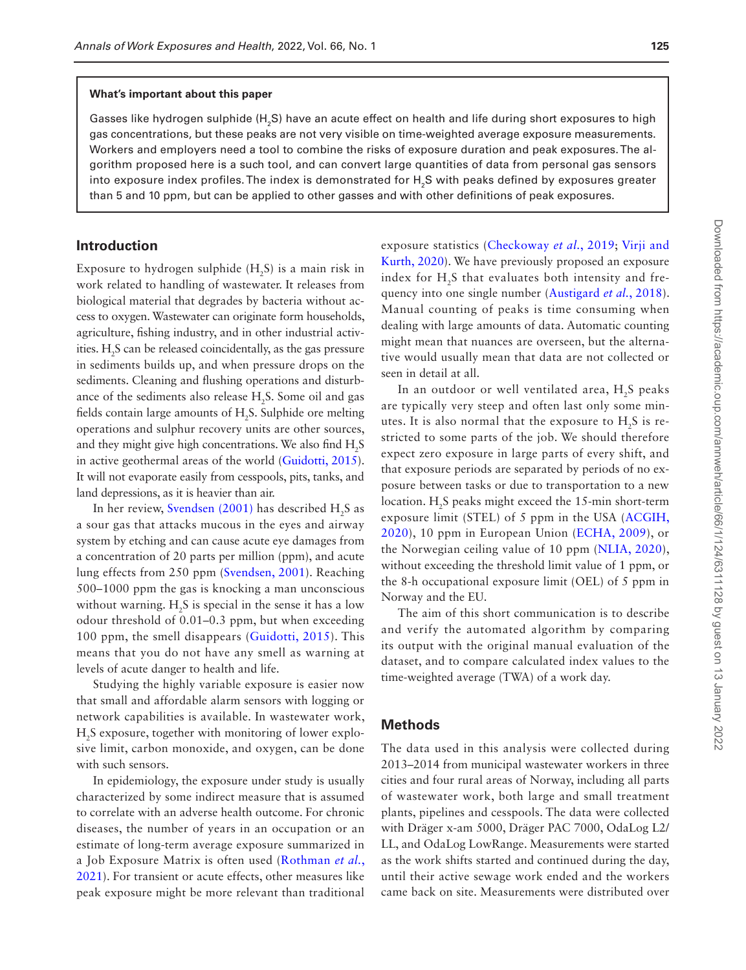#### **What's important about this paper**

Gasses like hydrogen sulphide (H<sub>2</sub>S) have an acute effect on health and life during short exposures to high gas concentrations, but these peaks are not very visible on time-weighted average exposure measurements. Workers and employers need a tool to combine the risks of exposure duration and peak exposures. The algorithm proposed here is a such tool, and can convert large quantities of data from personal gas sensors into exposure index profiles.The index is demonstrated for  $\mathsf{H}_2\mathsf{S}$  with peaks defined by exposures greater than 5 and 10 ppm, but can be applied to other gasses and with other definitions of peak exposures.

#### **Introduction**

Exposure to hydrogen sulphide  $(H_2S)$  is a main risk in work related to handling of wastewater. It releases from biological material that degrades by bacteria without access to oxygen. Wastewater can originate form households, agriculture, fishing industry, and in other industrial activities.  $H_2S$  can be released coincidentally, as the gas pressure in sediments builds up, and when pressure drops on the sediments. Cleaning and flushing operations and disturbance of the sediments also release  $H_2S$ . Some oil and gas fields contain large amounts of  $H_2S$ . Sulphide ore melting operations and sulphur recovery units are other sources, and they might give high concentrations. We also find  $H_2S$ in active geothermal areas of the world ([Guidotti, 2015\)](#page-5-0). It will not evaporate easily from cesspools, pits, tanks, and land depressions, as it is heavier than air.

In her review, [Svendsen \(2001\)](#page-5-1) has described  $H_2S$  as a sour gas that attacks mucous in the eyes and airway system by etching and can cause acute eye damages from a concentration of 20 parts per million (ppm), and acute lung effects from 250 ppm ([Svendsen, 2001](#page-5-1)). Reaching 500–1000 ppm the gas is knocking a man unconscious without warning.  $H_2S$  is special in the sense it has a low odour threshold of 0.01–0.3 ppm, but when exceeding 100 ppm, the smell disappears [\(Guidotti, 2015](#page-5-0)). This means that you do not have any smell as warning at levels of acute danger to health and life.

Studying the highly variable exposure is easier now that small and affordable alarm sensors with logging or network capabilities is available. In wastewater work, H2 S exposure, together with monitoring of lower explosive limit, carbon monoxide, and oxygen, can be done with such sensors.

In epidemiology, the exposure under study is usually characterized by some indirect measure that is assumed to correlate with an adverse health outcome. For chronic diseases, the number of years in an occupation or an estimate of long-term average exposure summarized in a Job Exposure Matrix is often used ([Rothman](#page-5-2) *et al.*, [2021\)](#page-5-2). For transient or acute effects, other measures like peak exposure might be more relevant than traditional exposure statistics [\(Checkoway](#page-5-3) *et al.*, 2019; [Virji and](#page-5-4)  [Kurth, 2020](#page-5-4)). We have previously proposed an exposure index for  $H<sub>2</sub>S$  that evaluates both intensity and frequency into one single number [\(Austigard](#page-5-5) *et al.*, 2018). Manual counting of peaks is time consuming when dealing with large amounts of data. Automatic counting might mean that nuances are overseen, but the alternative would usually mean that data are not collected or seen in detail at all.

In an outdoor or well ventilated area, H<sub>2</sub>S peaks are typically very steep and often last only some minutes. It is also normal that the exposure to H2S is restricted to some parts of the job. We should therefore expect zero exposure in large parts of every shift, and that exposure periods are separated by periods of no exposure between tasks or due to transportation to a new location. H<sub>2</sub>S peaks might exceed the 15-min short-term exposure limit (STEL) of 5 ppm in the USA [\(ACGIH,](#page-5-6)  [2020\)](#page-5-6), 10 ppm in European Union [\(ECHA, 2009](#page-5-7)), or the Norwegian ceiling value of 10 ppm ([NLIA, 2020\)](#page-5-8), without exceeding the threshold limit value of 1 ppm, or the 8-h occupational exposure limit (OEL) of 5 ppm in Norway and the EU.

The aim of this short communication is to describe and verify the automated algorithm by comparing its output with the original manual evaluation of the dataset, and to compare calculated index values to the time-weighted average (TWA) of a work day.

#### **Methods**

The data used in this analysis were collected during 2013–2014 from municipal wastewater workers in three cities and four rural areas of Norway, including all parts of wastewater work, both large and small treatment plants, pipelines and cesspools. The data were collected with Dräger x-am 5000, Dräger PAC 7000, OdaLog L2/ LL, and OdaLog LowRange. Measurements were started as the work shifts started and continued during the day, until their active sewage work ended and the workers came back on site. Measurements were distributed over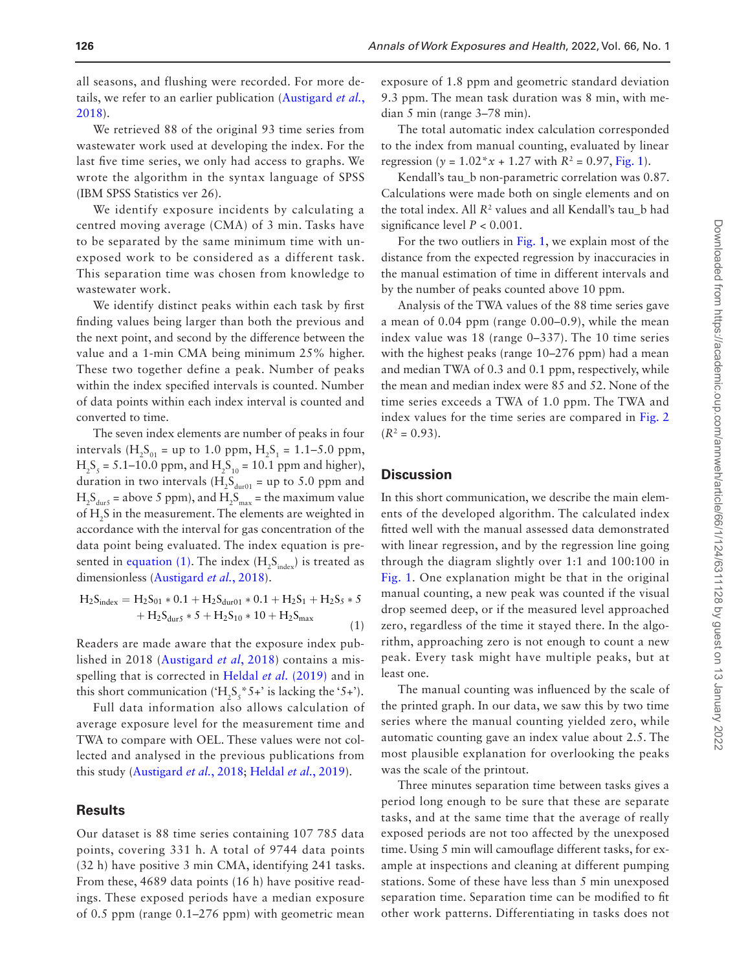all seasons, and flushing were recorded. For more details, we refer to an earlier publication ([Austigard](#page-5-5) *et al.*, [2018\)](#page-5-5).

We retrieved 88 of the original 93 time series from wastewater work used at developing the index. For the last five time series, we only had access to graphs. We wrote the algorithm in the syntax language of SPSS (IBM SPSS Statistics ver 26).

We identify exposure incidents by calculating a centred moving average (CMA) of 3 min. Tasks have to be separated by the same minimum time with unexposed work to be considered as a different task. This separation time was chosen from knowledge to wastewater work.

We identify distinct peaks within each task by first finding values being larger than both the previous and the next point, and second by the difference between the value and a 1-min CMA being minimum 25% higher. These two together define a peak. Number of peaks within the index specified intervals is counted. Number of data points within each index interval is counted and converted to time.

The seven index elements are number of peaks in four intervals  $(H_2S_{01} = up to 1.0 ppm, H_2S_1 = 1.1-5.0 ppm,$  $H_2S_5 = 5.1 - 10.0$  ppm, and  $H_2S_{10} = 10.1$  ppm and higher), duration in two intervals  $(H_2S_{\text{dur01}} = \text{up to } 5.0 \text{ ppm and})$  $H_2S_{\text{dur}}$  = above 5 ppm), and  $H_2S_{\text{max}}$  = the maximum value of H2 S in the measurement. The elements are weighted in accordance with the interval for gas concentration of the data point being evaluated. The index equation is presented in [equation \(1\)](#page-2-0). The index  $(H_2S_{index})$  is treated as dimensionless ([Austigard](#page-5-5) *et al.*, 2018).

<span id="page-2-0"></span>
$$
H_2S_{index} = H_2S_{01} * 0.1 + H_2S_{dur01} * 0.1 + H_2S_1 + H_2S_5 * 5
$$
  
+ H\_2S\_{dur5} \* 5 + H\_2S\_{10} \* 10 + H\_2S\_{max} (1)

Readers are made aware that the exposure index published in 2018 ([Austigard](#page-5-5) *et al*, 2018) contains a mis-spelling that is corrected in [Heldal](#page-5-9) *et al.* (2019) and in this short communication (' $H_2S_5$ '' 5+' is lacking the '5+').

Full data information also allows calculation of average exposure level for the measurement time and TWA to compare with OEL. These values were not collected and analysed in the previous publications from this study [\(Austigard](#page-5-5) *et al.*, 2018; [Heldal](#page-5-9) *et al.*, 2019).

#### **Results**

Our dataset is 88 time series containing 107 785 data points, covering 331 h. A total of 9744 data points (32 h) have positive 3 min CMA, identifying 241 tasks. From these, 4689 data points (16 h) have positive readings. These exposed periods have a median exposure of 0.5 ppm (range 0.1–276 ppm) with geometric mean exposure of 1.8 ppm and geometric standard deviation 9.3 ppm. The mean task duration was 8 min, with median 5 min (range 3–78 min).

The total automatic index calculation corresponded to the index from manual counting, evaluated by linear regression (*y* =  $1.02 \times x + 1.27$  with  $R^2 = 0.97$ , [Fig. 1\)](#page-3-0).

Kendall's tau\_b non-parametric correlation was 0.87. Calculations were made both on single elements and on the total index. All *R*<sup>2</sup> values and all Kendall's tau\_b had significance level *P* < 0.001.

For the two outliers in [Fig. 1,](#page-3-0) we explain most of the distance from the expected regression by inaccuracies in the manual estimation of time in different intervals and by the number of peaks counted above 10 ppm.

Analysis of the TWA values of the 88 time series gave a mean of 0.04 ppm (range 0.00–0.9), while the mean index value was 18 (range 0–337). The 10 time series with the highest peaks (range 10–276 ppm) had a mean and median TWA of 0.3 and 0.1 ppm, respectively, while the mean and median index were 85 and 52. None of the time series exceeds a TWA of 1.0 ppm. The TWA and index values for the time series are compared in [Fig. 2](#page-3-1)  $(R^2 = 0.93)$ .

#### **Discussion**

In this short communication, we describe the main elements of the developed algorithm. The calculated index fitted well with the manual assessed data demonstrated with linear regression, and by the regression line going through the diagram slightly over 1:1 and 100:100 in [Fig. 1](#page-3-0). One explanation might be that in the original manual counting, a new peak was counted if the visual drop seemed deep, or if the measured level approached zero, regardless of the time it stayed there. In the algorithm, approaching zero is not enough to count a new peak. Every task might have multiple peaks, but at least one.

The manual counting was influenced by the scale of the printed graph. In our data, we saw this by two time series where the manual counting yielded zero, while automatic counting gave an index value about 2.5. The most plausible explanation for overlooking the peaks was the scale of the printout.

Three minutes separation time between tasks gives a period long enough to be sure that these are separate tasks, and at the same time that the average of really exposed periods are not too affected by the unexposed time. Using 5 min will camouflage different tasks, for example at inspections and cleaning at different pumping stations. Some of these have less than 5 min unexposed separation time. Separation time can be modified to fit other work patterns. Differentiating in tasks does not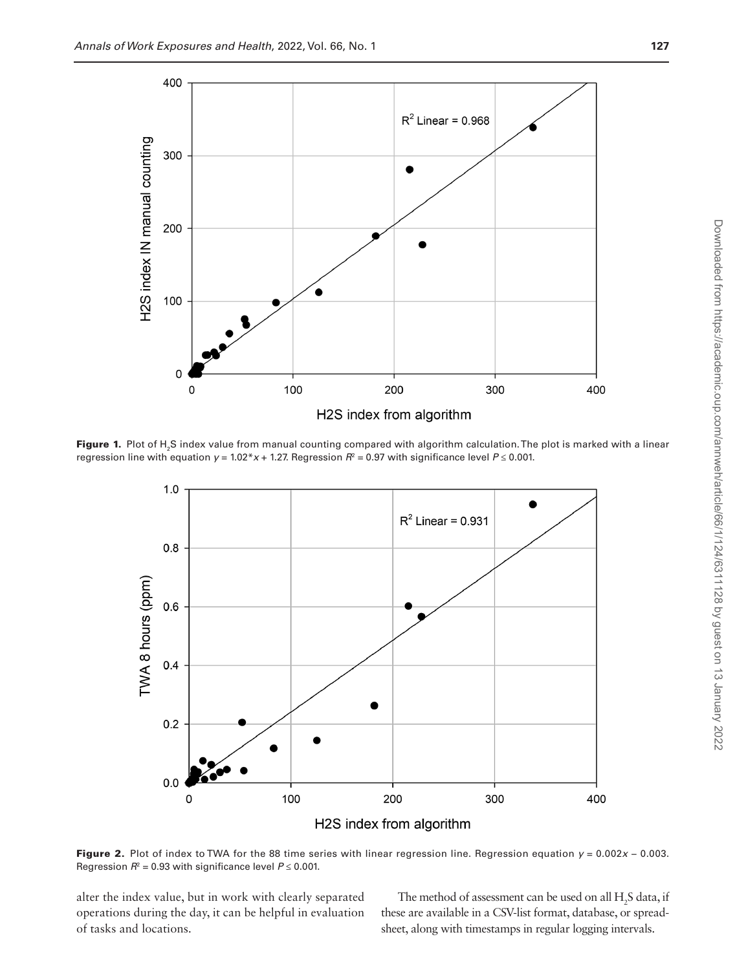

**Figure 1.** Plot of H<sub>2</sub>S index value from manual counting compared with algorithm calculation. The plot is marked with a linear regression line with equation  $y = 1.02^* x + 1.27$ . Regression  $R^2 = 0.97$  with significance level  $P \le 0.001$ .

<span id="page-3-0"></span>

<span id="page-3-1"></span>Figure 2. Plot of index to TWA for the 88 time series with linear regression line. Regression equation  $y = 0.002x - 0.003$ . Regression  $R^2$  = 0.93 with significance level  $P \leq 0.001$ .

alter the index value, but in work with clearly separated operations during the day, it can be helpful in evaluation of tasks and locations.

The method of assessment can be used on all  $H_2S$  data, if these are available in a CSV-list format, database, or spreadsheet, along with timestamps in regular logging intervals.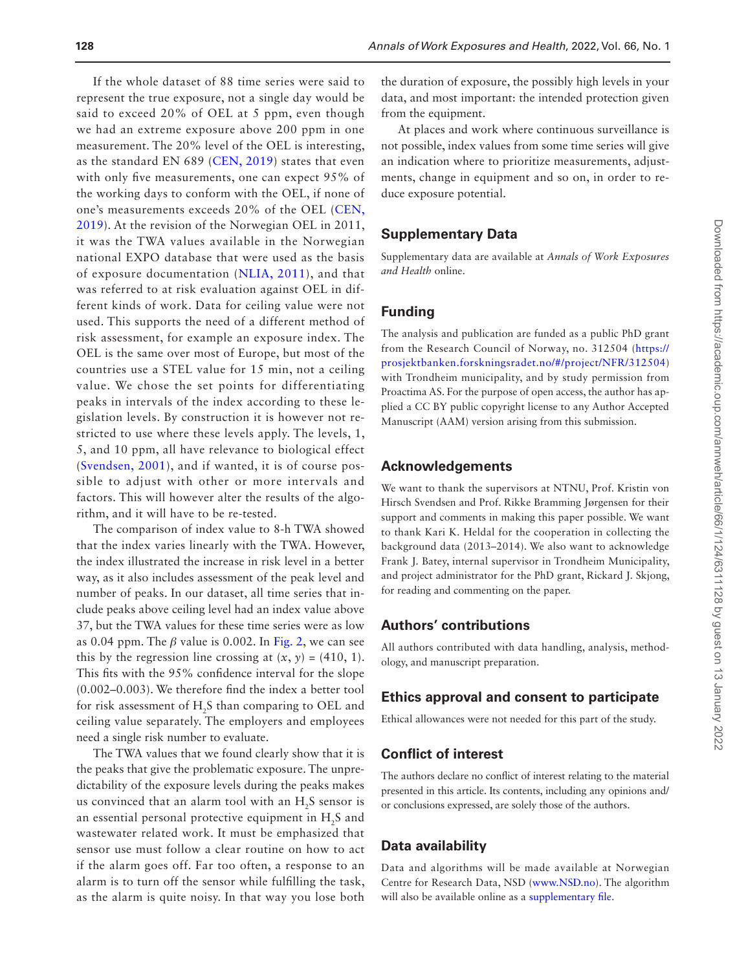we had an extreme exposure above 200 ppm in one measurement. The 20% level of the OEL is interesting, as the standard EN 689 ([CEN, 2019](#page-5-10)) states that even with only five measurements, one can expect 95% of the working days to conform with the OEL, if none of one's measurements exceeds 20% of the OEL ([CEN,](#page-5-10)  [2019](#page-5-10)). At the revision of the Norwegian OEL in 2011, it was the TWA values available in the Norwegian national EXPO database that were used as the basis of exposure documentation ([NLIA, 2011\)](#page-5-11), and that was referred to at risk evaluation against OEL in different kinds of work. Data for ceiling value were not used. This supports the need of a different method of risk assessment, for example an exposure index. The OEL is the same over most of Europe, but most of the countries use a STEL value for 15 min, not a ceiling value. We chose the set points for differentiating peaks in intervals of the index according to these legislation levels. By construction it is however not restricted to use where these levels apply. The levels, 1, 5, and 10 ppm, all have relevance to biological effect ([Svendsen, 2001](#page-5-1)), and if wanted, it is of course possible to adjust with other or more intervals and factors. This will however alter the results of the algorithm, and it will have to be re-tested.

The comparison of index value to 8-h TWA showed that the index varies linearly with the TWA. However, the index illustrated the increase in risk level in a better way, as it also includes assessment of the peak level and number of peaks. In our dataset, all time series that include peaks above ceiling level had an index value above 37, but the TWA values for these time series were as low as 0.04 ppm. The  $\beta$  value is 0.002. In [Fig. 2,](#page-3-1) we can see this by the regression line crossing at  $(x, y) = (410, 1)$ . This fits with the 95% confidence interval for the slope (0.002–0.003). We therefore find the index a better tool for risk assessment of  $H_2S$  than comparing to OEL and ceiling value separately. The employers and employees need a single risk number to evaluate.

The TWA values that we found clearly show that it is the peaks that give the problematic exposure. The unpredictability of the exposure levels during the peaks makes us convinced that an alarm tool with an  $H<sub>2</sub>S$  sensor is an essential personal protective equipment in H<sub>2</sub>S and wastewater related work. It must be emphasized that sensor use must follow a clear routine on how to act if the alarm goes off. Far too often, a response to an alarm is to turn off the sensor while fulfilling the task, as the alarm is quite noisy. In that way you lose both

the duration of exposure, the possibly high levels in your data, and most important: the intended protection given from the equipment.

At places and work where continuous surveillance is not possible, index values from some time series will give an indication where to prioritize measurements, adjustments, change in equipment and so on, in order to reduce exposure potential.

#### **Supplementary Data**

Supplementary data are available at *Annals of Work Exposures and Health* online.

#### **Funding**

The analysis and publication are funded as a public PhD grant from the Research Council of Norway, no. 312504 ([https://](https://prosjektbanken.forskningsradet.no/#/project/NFR/312504) [prosjektbanken.forskningsradet.no/#/project/NFR/312504](https://prosjektbanken.forskningsradet.no/#/project/NFR/312504)) with Trondheim municipality, and by study permission from Proactima AS. For the purpose of open access, the author has applied a CC BY public copyright license to any Author Accepted Manuscript (AAM) version arising from this submission.

#### **Acknowledgements**

We want to thank the supervisors at NTNU, Prof. Kristin von Hirsch Svendsen and Prof. Rikke Bramming Jørgensen for their support and comments in making this paper possible. We want to thank Kari K. Heldal for the cooperation in collecting the background data (2013–2014). We also want to acknowledge Frank J. Batey, internal supervisor in Trondheim Municipality, and project administrator for the PhD grant, Rickard J. Skjong, for reading and commenting on the paper.

#### **Authors' contributions**

All authors contributed with data handling, analysis, methodology, and manuscript preparation.

#### **Ethics approval and consent to participate**

Ethical allowances were not needed for this part of the study.

#### **Conflict of interest**

The authors declare no conflict of interest relating to the material presented in this article. Its contents, including any opinions and/ or conclusions expressed, are solely those of the authors.

#### **Data availability**

Data and algorithms will be made available at Norwegian Centre for Research Data, NSD ([www.NSD.no\)](http://www.NSD.no). The algorithm will also be available online as a [supplementary file](http://academic.oup.com/annweh/article-lookup/doi/10.1093/annweh/wxab047#supplementary-data).